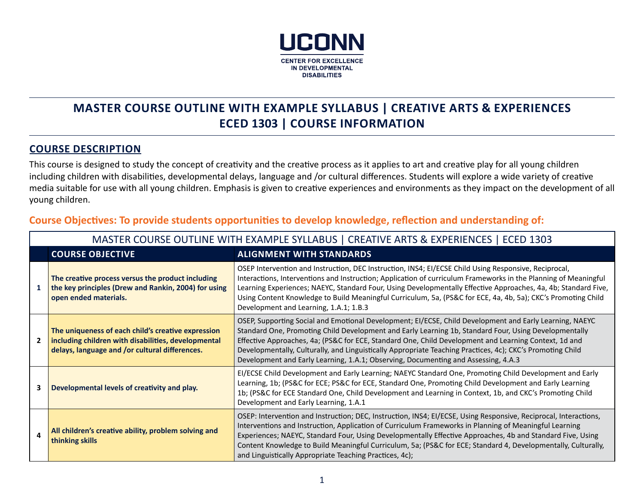

# **MASTER COURSE OUTLINE WITH EXAMPLE SYLLABUS | CREATIVE ARTS & EXPERIENCES ECED 1303 | COURSE INFORMATION**

### **COURSE DESCRIPTION**

This course is designed to study the concept of creativity and the creative process as it applies to art and creative play for all young children including children with disabilities, developmental delays, language and /or cultural differences. Students will explore a wide variety of creative media suitable for use with all young children. Emphasis is given to creative experiences and environments as they impact on the development of all young children.

## **Course Objectives: To provide students opportunities to develop knowledge, reflection and understanding of:**

|   | MASTER COURSE OUTLINE WITH EXAMPLE SYLLABUS   CREATIVE ARTS & EXPERIENCES   ECED 1303                                                                       |                                                                                                                                                                                                                                                                                                                                                                                                                                                                                                                               |  |  |
|---|-------------------------------------------------------------------------------------------------------------------------------------------------------------|-------------------------------------------------------------------------------------------------------------------------------------------------------------------------------------------------------------------------------------------------------------------------------------------------------------------------------------------------------------------------------------------------------------------------------------------------------------------------------------------------------------------------------|--|--|
|   | <b>COURSE OBJECTIVE</b>                                                                                                                                     | <b>ALIGNMENT WITH STANDARDS</b>                                                                                                                                                                                                                                                                                                                                                                                                                                                                                               |  |  |
|   | The creative process versus the product including<br>the key principles (Drew and Rankin, 2004) for using<br>open ended materials.                          | OSEP Intervention and Instruction, DEC Instruction, INS4; EI/ECSE Child Using Responsive, Reciprocal,<br>Interactions, Interventions and Instruction; Application of curriculum Frameworks in the Planning of Meaningful<br>Learning Experiences; NAEYC, Standard Four, Using Developmentally Effective Approaches, 4a, 4b; Standard Five,<br>Using Content Knowledge to Build Meaningful Curriculum, 5a, (PS&C for ECE, 4a, 4b, 5a); CKC's Promoting Child<br>Development and Learning, 1.A.1; 1.B.3                         |  |  |
|   | The uniqueness of each child's creative expression<br>including children with disabilities, developmental<br>delays, language and /or cultural differences. | OSEP, Supporting Social and Emotional Development; EI/ECSE, Child Development and Early Learning, NAEYC<br>Standard One, Promoting Child Development and Early Learning 1b, Standard Four, Using Developmentally<br>Effective Approaches, 4a; (PS&C for ECE, Standard One, Child Development and Learning Context, 1d and<br>Developmentally, Culturally, and Linguistically Appropriate Teaching Practices, 4c); CKC's Promoting Child<br>Development and Early Learning, 1.A.1; Observing, Documenting and Assessing, 4.A.3 |  |  |
| 3 | Developmental levels of creativity and play.                                                                                                                | EI/ECSE Child Development and Early Learning; NAEYC Standard One, Promoting Child Development and Early<br>Learning, 1b; (PS&C for ECE; PS&C for ECE, Standard One, Promoting Child Development and Early Learning<br>1b; (PS&C for ECE Standard One, Child Development and Learning in Context, 1b, and CKC's Promoting Child<br>Development and Early Learning, 1.A.1                                                                                                                                                       |  |  |
| 4 | All children's creative ability, problem solving and<br>thinking skills                                                                                     | OSEP: Intervention and Instruction; DEC, Instruction, INS4; EI/ECSE, Using Responsive, Reciprocal, Interactions,<br>Interventions and Instruction, Application of Curriculum Frameworks in Planning of Meaningful Learning<br>Experiences; NAEYC, Standard Four, Using Developmentally Effective Approaches, 4b and Standard Five, Using<br>Content Knowledge to Build Meaningful Curriculum, 5a; (PS&C for ECE; Standard 4, Developmentally, Culturally,<br>and Linguistically Appropriate Teaching Practices, 4c);          |  |  |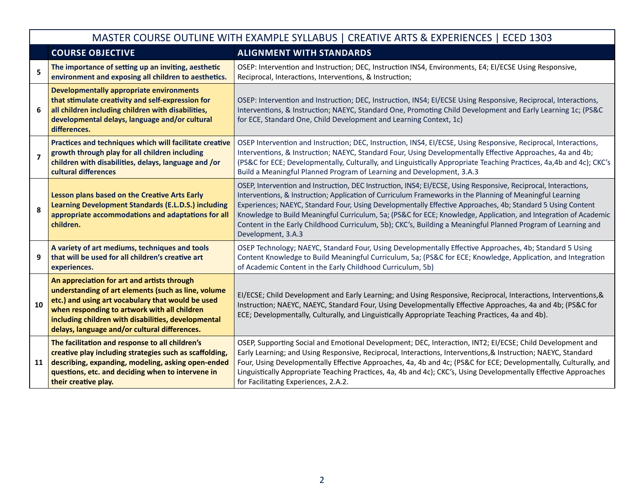|                         | MASTER COURSE OUTLINE WITH EXAMPLE SYLLABUS   CREATIVE ARTS & EXPERIENCES   ECED 1303                                                                                                                                                                                                                           |                                                                                                                                                                                                                                                                                                                                                                                                                                                                                                                                                                                                       |  |  |
|-------------------------|-----------------------------------------------------------------------------------------------------------------------------------------------------------------------------------------------------------------------------------------------------------------------------------------------------------------|-------------------------------------------------------------------------------------------------------------------------------------------------------------------------------------------------------------------------------------------------------------------------------------------------------------------------------------------------------------------------------------------------------------------------------------------------------------------------------------------------------------------------------------------------------------------------------------------------------|--|--|
|                         | <b>COURSE OBJECTIVE</b><br><b>ALIGNMENT WITH STANDARDS</b>                                                                                                                                                                                                                                                      |                                                                                                                                                                                                                                                                                                                                                                                                                                                                                                                                                                                                       |  |  |
| 5                       | The importance of setting up an inviting, aesthetic<br>environment and exposing all children to aesthetics.                                                                                                                                                                                                     | OSEP: Intervention and Instruction; DEC, Instruction INS4, Environments, E4; EI/ECSE Using Responsive,<br>Reciprocal, Interactions, Interventions, & Instruction;                                                                                                                                                                                                                                                                                                                                                                                                                                     |  |  |
| 6                       | <b>Developmentally appropriate environments</b><br>that stimulate creativity and self-expression for<br>all children including children with disabilities,<br>developmental delays, language and/or cultural<br>differences.                                                                                    | OSEP: Intervention and Instruction; DEC, Instruction, INS4; EI/ECSE Using Responsive, Reciprocal, Interactions,<br>Interventions, & Instruction; NAEYC, Standard One, Promoting Child Development and Early Learning 1c; (PS&C<br>for ECE, Standard One, Child Development and Learning Context, 1c)                                                                                                                                                                                                                                                                                                  |  |  |
| $\overline{\mathbf{z}}$ | Practices and techniques which will facilitate creative<br>growth through play for all children including<br>children with disabilities, delays, language and /or<br>cultural differences                                                                                                                       | OSEP Intervention and Instruction; DEC, Instruction, INS4, EI/ECSE, Using Responsive, Reciprocal, Interactions,<br>Interventions, & Instruction; NAEYC, Standard Four, Using Developmentally Effective Approaches, 4a and 4b;<br>(PS&C for ECE; Developmentally, Culturally, and Linguistically Appropriate Teaching Practices, 4a,4b and 4c); CKC's<br>Build a Meaningful Planned Program of Learning and Development, 3.A.3                                                                                                                                                                         |  |  |
| 8                       | Lesson plans based on the Creative Arts Early<br><b>Learning Development Standards (E.L.D.S.) including</b><br>appropriate accommodations and adaptations for all<br>children.                                                                                                                                  | OSEP, Intervention and Instruction, DEC Instruction, INS4; EI/ECSE, Using Responsive, Reciprocal, Interactions,<br>Interventions, & Instruction; Application of Curriculum Frameworks in the Planning of Meaningful Learning<br>Experiences; NAEYC, Standard Four, Using Developmentally Effective Approaches, 4b; Standard 5 Using Content<br>Knowledge to Build Meaningful Curriculum, 5a; (PS&C for ECE; Knowledge, Application, and Integration of Academic<br>Content in the Early Childhood Curriculum, 5b); CKC's, Building a Meaningful Planned Program of Learning and<br>Development, 3.A.3 |  |  |
| 9                       | A variety of art mediums, techniques and tools<br>that will be used for all children's creative art<br>experiences.                                                                                                                                                                                             | OSEP Technology; NAEYC, Standard Four, Using Developmentally Effective Approaches, 4b; Standard 5 Using<br>Content Knowledge to Build Meaningful Curriculum, 5a; (PS&C for ECE; Knowledge, Application, and Integration<br>of Academic Content in the Early Childhood Curriculum, 5b)                                                                                                                                                                                                                                                                                                                 |  |  |
| 10                      | An appreciation for art and artists through<br>understanding of art elements (such as line, volume<br>etc.) and using art vocabulary that would be used<br>when responding to artwork with all children<br>including children with disabilities, developmental<br>delays, language and/or cultural differences. | EI/ECSE; Child Development and Early Learning; and Using Responsive, Reciprocal, Interactions, Interventions, &<br>Instruction; NAEYC, NAEYC, Standard Four, Using Developmentally Effective Approaches, 4a and 4b; (PS&C for<br>ECE; Developmentally, Culturally, and Linguistically Appropriate Teaching Practices, 4a and 4b).                                                                                                                                                                                                                                                                     |  |  |
| 11                      | The facilitation and response to all children's<br>creative play including strategies such as scaffolding,<br>describing, expanding, modeling, asking open-ended<br>questions, etc. and deciding when to intervene in<br>their creative play.                                                                   | OSEP, Supporting Social and Emotional Development; DEC, Interaction, INT2; EI/ECSE; Child Development and<br>Early Learning; and Using Responsive, Reciprocal, Interactions, Interventions, & Instruction; NAEYC, Standard<br>Four, Using Developmentally Effective Approaches, 4a, 4b and 4c; (PS&C for ECE; Developmentally, Culturally, and<br>Linguistically Appropriate Teaching Practices, 4a, 4b and 4c); CKC's, Using Developmentally Effective Approaches<br>for Facilitating Experiences, 2.A.2.                                                                                            |  |  |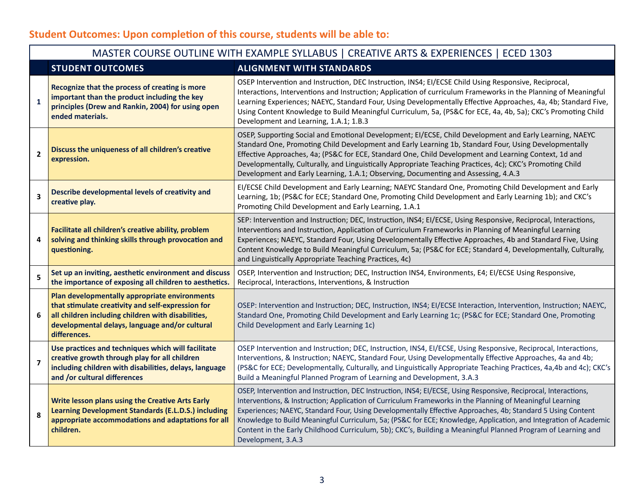# **Student Outcomes: Upon completion of this course, students will be able to:**

|              | MASTER COURSE OUTLINE WITH EXAMPLE SYLLABUS   CREATIVE ARTS & EXPERIENCES   ECED 1303                                                                                                                                      |                                                                                                                                                                                                                                                                                                                                                                                                                                                                                                                                                                                                       |  |  |  |
|--------------|----------------------------------------------------------------------------------------------------------------------------------------------------------------------------------------------------------------------------|-------------------------------------------------------------------------------------------------------------------------------------------------------------------------------------------------------------------------------------------------------------------------------------------------------------------------------------------------------------------------------------------------------------------------------------------------------------------------------------------------------------------------------------------------------------------------------------------------------|--|--|--|
|              | <b>STUDENT OUTCOMES</b>                                                                                                                                                                                                    | <b>ALIGNMENT WITH STANDARDS</b>                                                                                                                                                                                                                                                                                                                                                                                                                                                                                                                                                                       |  |  |  |
| $\mathbf{1}$ | Recognize that the process of creating is more<br>important than the product including the key<br>principles (Drew and Rankin, 2004) for using open<br>ended materials.                                                    | OSEP Intervention and Instruction, DEC Instruction, INS4; EI/ECSE Child Using Responsive, Reciprocal,<br>Interactions, Interventions and Instruction; Application of curriculum Frameworks in the Planning of Meaningful<br>Learning Experiences; NAEYC, Standard Four, Using Developmentally Effective Approaches, 4a, 4b; Standard Five,<br>Using Content Knowledge to Build Meaningful Curriculum, 5a, (PS&C for ECE, 4a, 4b, 5a); CKC's Promoting Child<br>Development and Learning, 1.A.1; 1.B.3                                                                                                 |  |  |  |
| $\mathbf{2}$ | Discuss the uniqueness of all children's creative<br>expression.                                                                                                                                                           | OSEP, Supporting Social and Emotional Development; El/ECSE, Child Development and Early Learning, NAEYC<br>Standard One, Promoting Child Development and Early Learning 1b, Standard Four, Using Developmentally<br>Effective Approaches, 4a; (PS&C for ECE, Standard One, Child Development and Learning Context, 1d and<br>Developmentally, Culturally, and Linguistically Appropriate Teaching Practices, 4c); CKC's Promoting Child<br>Development and Early Learning, 1.A.1; Observing, Documenting and Assessing, 4.A.3                                                                         |  |  |  |
| 3            | Describe developmental levels of creativity and<br>creative play.                                                                                                                                                          | EI/ECSE Child Development and Early Learning; NAEYC Standard One, Promoting Child Development and Early<br>Learning, 1b; (PS&C for ECE; Standard One, Promoting Child Development and Early Learning 1b); and CKC's<br>Promoting Child Development and Early Learning, 1.A.1                                                                                                                                                                                                                                                                                                                          |  |  |  |
| 4            | Facilitate all children's creative ability, problem<br>solving and thinking skills through provocation and<br>questioning.                                                                                                 | SEP: Intervention and Instruction; DEC, Instruction, INS4; EI/ECSE, Using Responsive, Reciprocal, Interactions,<br>Interventions and Instruction, Application of Curriculum Frameworks in Planning of Meaningful Learning<br>Experiences; NAEYC, Standard Four, Using Developmentally Effective Approaches, 4b and Standard Five, Using<br>Content Knowledge to Build Meaningful Curriculum, 5a; (PS&C for ECE; Standard 4, Developmentally, Culturally,<br>and Linguistically Appropriate Teaching Practices, 4c)                                                                                    |  |  |  |
| 5            | Set up an inviting, aesthetic environment and discuss<br>the importance of exposing all children to aesthetics.                                                                                                            | OSEP, Intervention and Instruction; DEC, Instruction INS4, Environments, E4; EI/ECSE Using Responsive,<br>Reciprocal, Interactions, Interventions, & Instruction                                                                                                                                                                                                                                                                                                                                                                                                                                      |  |  |  |
| 6            | Plan developmentally appropriate environments<br>that stimulate creativity and self-expression for<br>all children including children with disabilities,<br>developmental delays, language and/or cultural<br>differences. | OSEP: Intervention and Instruction; DEC, Instruction, INS4; EI/ECSE Interaction, Intervention, Instruction; NAEYC,<br>Standard One, Promoting Child Development and Early Learning 1c; (PS&C for ECE; Standard One, Promoting<br>Child Development and Early Learning 1c)                                                                                                                                                                                                                                                                                                                             |  |  |  |
| 7            | Use practices and techniques which will facilitate<br>creative growth through play for all children<br>including children with disabilities, delays, language<br>and /or cultural differences                              | OSEP Intervention and Instruction; DEC, Instruction, INS4, EI/ECSE, Using Responsive, Reciprocal, Interactions,<br>Interventions, & Instruction; NAEYC, Standard Four, Using Developmentally Effective Approaches, 4a and 4b;<br>(PS&C for ECE; Developmentally, Culturally, and Linguistically Appropriate Teaching Practices, 4a,4b and 4c); CKC's<br>Build a Meaningful Planned Program of Learning and Development, 3.A.3                                                                                                                                                                         |  |  |  |
| 8            | Write lesson plans using the Creative Arts Early<br><b>Learning Development Standards (E.L.D.S.) including</b><br>appropriate accommodations and adaptations for all<br>children.                                          | OSEP, Intervention and Instruction, DEC Instruction, INS4; EI/ECSE, Using Responsive, Reciprocal, Interactions,<br>Interventions, & Instruction; Application of Curriculum Frameworks in the Planning of Meaningful Learning<br>Experiences; NAEYC, Standard Four, Using Developmentally Effective Approaches, 4b; Standard 5 Using Content<br>Knowledge to Build Meaningful Curriculum, 5a; (PS&C for ECE; Knowledge, Application, and Integration of Academic<br>Content in the Early Childhood Curriculum, 5b); CKC's, Building a Meaningful Planned Program of Learning and<br>Development, 3.A.3 |  |  |  |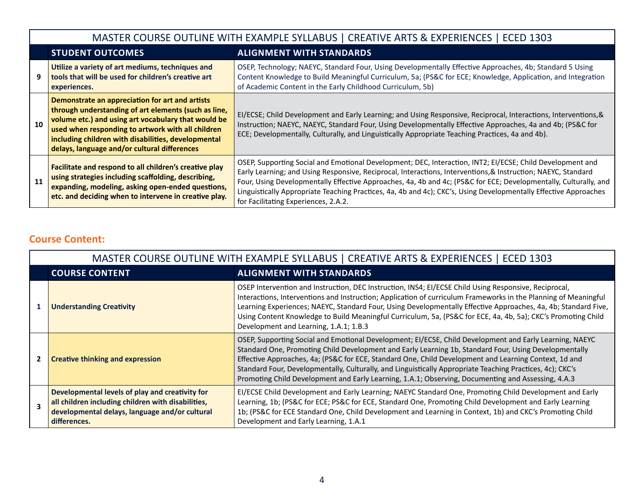|    | MASTER COURSE OUTLINE WITH EXAMPLE SYLLABUS   CREATIVE ARTS & EXPERIENCES   ECED 1303                                                                                                                                                                                                                                      |                                                                                                                                                                                                                                                                                                                                                                                                                                                                                                            |  |
|----|----------------------------------------------------------------------------------------------------------------------------------------------------------------------------------------------------------------------------------------------------------------------------------------------------------------------------|------------------------------------------------------------------------------------------------------------------------------------------------------------------------------------------------------------------------------------------------------------------------------------------------------------------------------------------------------------------------------------------------------------------------------------------------------------------------------------------------------------|--|
|    | <b>STUDENT OUTCOMES</b>                                                                                                                                                                                                                                                                                                    | <b>ALIGNMENT WITH STANDARDS</b>                                                                                                                                                                                                                                                                                                                                                                                                                                                                            |  |
|    | Utilize a variety of art mediums, techniques and<br>tools that will be used for children's creative art<br>experiences.                                                                                                                                                                                                    | OSEP, Technology; NAEYC, Standard Four, Using Developmentally Effective Approaches, 4b; Standard 5 Using<br>Content Knowledge to Build Meaningful Curriculum, 5a; (PS&C for ECE; Knowledge, Application, and Integration<br>of Academic Content in the Early Childhood Curriculum, 5b)                                                                                                                                                                                                                     |  |
| 10 | Demonstrate an appreciation for art and artists<br>through understanding of art elements (such as line,<br>volume etc.) and using art vocabulary that would be<br>used when responding to artwork with all children<br>including children with disabilities, developmental<br>delays, language and/or cultural differences | EI/ECSE; Child Development and Early Learning; and Using Responsive, Reciprocal, Interactions, Interventions, &<br>Instruction; NAEYC, NAEYC, Standard Four, Using Developmentally Effective Approaches, 4a and 4b; (PS&C for<br>ECE; Developmentally, Culturally, and Linguistically Appropriate Teaching Practices, 4a and 4b).                                                                                                                                                                          |  |
| 11 | Facilitate and respond to all children's creative play<br>using strategies including scaffolding, describing,<br>expanding, modeling, asking open-ended questions,<br>etc. and deciding when to intervene in creative play.                                                                                                | OSEP, Supporting Social and Emotional Development; DEC, Interaction, INT2; EI/ECSE; Child Development and<br>Early Learning; and Using Responsive, Reciprocal, Interactions, Interventions, & Instruction; NAEYC, Standard<br>Four, Using Developmentally Effective Approaches, 4a, 4b and 4c; (PS&C for ECE; Developmentally, Culturally, and<br>Linguistically Appropriate Teaching Practices, 4a, 4b and 4c); CKC's, Using Developmentally Effective Approaches<br>for Facilitating Experiences, 2.A.2. |  |

# **Course Content:**

|                                                          | MASTER COURSE OUTLINE WITH EXAMPLE SYLLABUS   CREATIVE ARTS & EXPERIENCES   ECED 1303                                                                                   |                                                                                                                                                                                                                                                                                                                                                                                                                                                                                                                                              |  |
|----------------------------------------------------------|-------------------------------------------------------------------------------------------------------------------------------------------------------------------------|----------------------------------------------------------------------------------------------------------------------------------------------------------------------------------------------------------------------------------------------------------------------------------------------------------------------------------------------------------------------------------------------------------------------------------------------------------------------------------------------------------------------------------------------|--|
| <b>ALIGNMENT WITH STANDARDS</b><br><b>COURSE CONTENT</b> |                                                                                                                                                                         |                                                                                                                                                                                                                                                                                                                                                                                                                                                                                                                                              |  |
|                                                          | <b>Understanding Creativity</b>                                                                                                                                         | OSEP Intervention and Instruction, DEC Instruction, INS4; EI/ECSE Child Using Responsive, Reciprocal,<br>Interactions, Interventions and Instruction; Application of curriculum Frameworks in the Planning of Meaningful<br>Learning Experiences; NAEYC, Standard Four, Using Developmentally Effective Approaches, 4a, 4b; Standard Five,<br>Using Content Knowledge to Build Meaningful Curriculum, 5a, (PS&C for ECE, 4a, 4b, 5a); CKC's Promoting Child<br>Development and Learning, 1.A.1; 1.B.3                                        |  |
|                                                          | <b>Creative thinking and expression</b>                                                                                                                                 | OSEP, Supporting Social and Emotional Development; EI/ECSE, Child Development and Early Learning, NAEYC<br>Standard One, Promoting Child Development and Early Learning 1b, Standard Four, Using Developmentally<br>Effective Approaches, 4a; (PS&C for ECE, Standard One, Child Development and Learning Context, 1d and<br>Standard Four, Developmentally, Culturally, and Linguistically Appropriate Teaching Practices, 4c); CKC's<br>Promoting Child Development and Early Learning, 1.A.1; Observing, Documenting and Assessing, 4.A.3 |  |
|                                                          | Developmental levels of play and creativity for<br>all children including children with disabilities,<br>developmental delays, language and/or cultural<br>differences. | EI/ECSE Child Development and Early Learning; NAEYC Standard One, Promoting Child Development and Early<br>Learning, 1b; (PS&C for ECE; PS&C for ECE, Standard One, Promoting Child Development and Early Learning<br>1b; (PS&C for ECE Standard One, Child Development and Learning in Context, 1b) and CKC's Promoting Child<br>Development and Early Learning, 1.A.1                                                                                                                                                                      |  |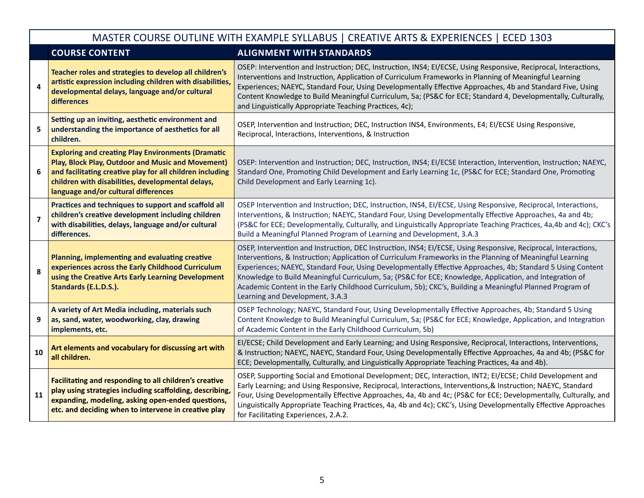|                         |                                                                                                                                                                                                                                                                          | MASTER COURSE OUTLINE WITH EXAMPLE SYLLABUS   CREATIVE ARTS & EXPERIENCES   ECED 1303                                                                                                                                                                                                                                                                                                                                                                                                                                                                                                                 |  |  |
|-------------------------|--------------------------------------------------------------------------------------------------------------------------------------------------------------------------------------------------------------------------------------------------------------------------|-------------------------------------------------------------------------------------------------------------------------------------------------------------------------------------------------------------------------------------------------------------------------------------------------------------------------------------------------------------------------------------------------------------------------------------------------------------------------------------------------------------------------------------------------------------------------------------------------------|--|--|
|                         | <b>COURSE CONTENT</b>                                                                                                                                                                                                                                                    | <b>ALIGNMENT WITH STANDARDS</b>                                                                                                                                                                                                                                                                                                                                                                                                                                                                                                                                                                       |  |  |
| $\overline{\mathbf{A}}$ | Teacher roles and strategies to develop all children's<br>artistic expression including children with disabilities,<br>developmental delays, language and/or cultural<br>differences                                                                                     | OSEP: Intervention and Instruction; DEC, Instruction, INS4; El/ECSE, Using Responsive, Reciprocal, Interactions,<br>Interventions and Instruction, Application of Curriculum Frameworks in Planning of Meaningful Learning<br>Experiences; NAEYC, Standard Four, Using Developmentally Effective Approaches, 4b and Standard Five, Using<br>Content Knowledge to Build Meaningful Curriculum, 5a; (PS&C for ECE; Standard 4, Developmentally, Culturally,<br>and Linguistically Appropriate Teaching Practices, 4c);                                                                                  |  |  |
| 5                       | Setting up an inviting, aesthetic environment and<br>understanding the importance of aesthetics for all<br>children.                                                                                                                                                     | OSEP, Intervention and Instruction; DEC, Instruction INS4, Environments, E4; EI/ECSE Using Responsive,<br>Reciprocal, Interactions, Interventions, & Instruction                                                                                                                                                                                                                                                                                                                                                                                                                                      |  |  |
| 6                       | <b>Exploring and creating Play Environments (Dramatic</b><br>Play, Block Play, Outdoor and Music and Movement)<br>and facilitating creative play for all children including<br>children with disabilities, developmental delays,<br>language and/or cultural differences | OSEP: Intervention and Instruction; DEC, Instruction, INS4; EI/ECSE Interaction, Intervention, Instruction; NAEYC,<br>Standard One, Promoting Child Development and Early Learning 1c, (PS&C for ECE; Standard One, Promoting<br>Child Development and Early Learning 1c).                                                                                                                                                                                                                                                                                                                            |  |  |
| $\overline{\mathbf{z}}$ | Practices and techniques to support and scaffold all<br>children's creative development including children<br>with disabilities, delays, language and/or cultural<br>differences.                                                                                        | OSEP Intervention and Instruction; DEC, Instruction, INS4, EI/ECSE, Using Responsive, Reciprocal, Interactions,<br>Interventions, & Instruction; NAEYC, Standard Four, Using Developmentally Effective Approaches, 4a and 4b;<br>(PS&C for ECE; Developmentally, Culturally, and Linguistically Appropriate Teaching Practices, 4a,4b and 4c); CKC's<br>Build a Meaningful Planned Program of Learning and Development, 3.A.3                                                                                                                                                                         |  |  |
| 8                       | Planning, implementing and evaluating creative<br>experiences across the Early Childhood Curriculum<br>using the Creative Arts Early Learning Development<br>Standards (E.L.D.S.).                                                                                       | OSEP, Intervention and Instruction, DEC Instruction, INS4; EI/ECSE, Using Responsive, Reciprocal, Interactions,<br>Interventions, & Instruction; Application of Curriculum Frameworks in the Planning of Meaningful Learning<br>Experiences; NAEYC, Standard Four, Using Developmentally Effective Approaches, 4b; Standard 5 Using Content<br>Knowledge to Build Meaningful Curriculum, 5a; (PS&C for ECE; Knowledge, Application, and Integration of<br>Academic Content in the Early Childhood Curriculum, 5b); CKC's, Building a Meaningful Planned Program of<br>Learning and Development, 3.A.3 |  |  |
| 9                       | A variety of Art Media including, materials such<br>as, sand, water, woodworking, clay, drawing<br>implements, etc.                                                                                                                                                      | OSEP Technology; NAEYC, Standard Four, Using Developmentally Effective Approaches, 4b; Standard 5 Using<br>Content Knowledge to Build Meaningful Curriculum, 5a; (PS&C for ECE; Knowledge, Application, and Integration<br>of Academic Content in the Early Childhood Curriculum, 5b)                                                                                                                                                                                                                                                                                                                 |  |  |
| 10                      | Art elements and vocabulary for discussing art with<br>all children.                                                                                                                                                                                                     | EI/ECSE; Child Development and Early Learning; and Using Responsive, Reciprocal, Interactions, Interventions,<br>& Instruction; NAEYC, NAEYC, Standard Four, Using Developmentally Effective Approaches, 4a and 4b; (PS&C for<br>ECE; Developmentally, Culturally, and Linguistically Appropriate Teaching Practices, 4a and 4b).                                                                                                                                                                                                                                                                     |  |  |
| 11                      | Facilitating and responding to all children's creative<br>play using strategies including scaffolding, describing,<br>expanding, modeling, asking open-ended questions,<br>etc. and deciding when to intervene in creative play                                          | OSEP, Supporting Social and Emotional Development; DEC, Interaction, INT2; EI/ECSE; Child Development and<br>Early Learning; and Using Responsive, Reciprocal, Interactions, Interventions, & Instruction; NAEYC, Standard<br>Four, Using Developmentally Effective Approaches, 4a, 4b and 4c; (PS&C for ECE; Developmentally, Culturally, and<br>Linguistically Appropriate Teaching Practices, 4a, 4b and 4c); CKC's, Using Developmentally Effective Approaches<br>for Facilitating Experiences, 2.A.2.                                                                                            |  |  |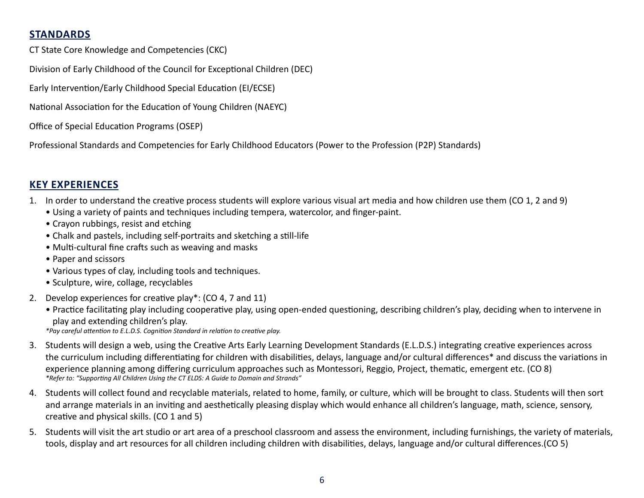## **STANDARDS**

CT State Core Knowledge and Competencies (CKC)

Division of Early Childhood of the Council for Exceptional Children (DEC)

Early Intervention/Early Childhood Special Education (EI/ECSE)

National Association for the Education of Young Children (NAEYC)

Office of Special Education Programs (OSEP)

Professional Standards and Competencies for Early Childhood Educators (Power to the Profession (P2P) Standards)

## **KEY EXPERIENCES**

- 1. In order to understand the creative process students will explore various visual art media and how children use them (CO 1, 2 and 9)
	- Using a variety of paints and techniques including tempera, watercolor, and finger-paint.
	- Crayon rubbings, resist and etching
	- Chalk and pastels, including self-portraits and sketching a still-life
	- Multi-cultural fine crafts such as weaving and masks
	- Paper and scissors
	- Various types of clay, including tools and techniques.
	- Sculpture, wire, collage, recyclables
- 2. Develop experiences for creative play\*: (CO 4, 7 and 11)
	- Practice facilitating play including cooperative play, using open-ended questioning, describing children's play, deciding when to intervene in play and extending children's play.

 *\*Pay careful attention to E.L.D.S. Cognition Standard in relation to creative play.*

- 3. Students will design a web, using the Creative Arts Early Learning Development Standards (E.L.D.S.) integrating creative experiences across the curriculum including differentiating for children with disabilities, delays, language and/or cultural differences\* and discuss the variations in experience planning among differing curriculum approaches such as Montessori, Reggio, Project, thematic, emergent etc. (CO 8)  *\*Refer to: "Supporting All Children Using the CT ELDS: A Guide to Domain and Strands"*
- 4. Students will collect found and recyclable materials, related to home, family, or culture, which will be brought to class. Students will then sort and arrange materials in an inviting and aesthetically pleasing display which would enhance all children's language, math, science, sensory, creative and physical skills. (CO 1 and 5)
- 5. Students will visit the art studio or art area of a preschool classroom and assess the environment, including furnishings, the variety of materials, tools, display and art resources for all children including children with disabilities, delays, language and/or cultural differences.(CO 5)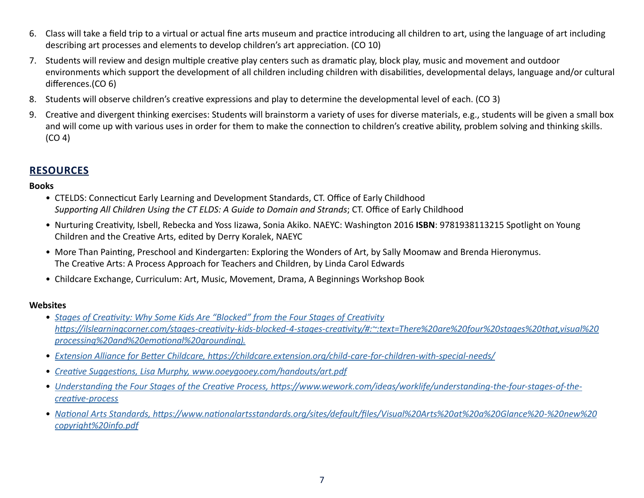- 6. Class will take a field trip to a virtual or actual fine arts museum and practice introducing all children to art, using the language of art including describing art processes and elements to develop children's art appreciation. (CO 10)
- 7. Students will review and design multiple creative play centers such as dramatic play, block play, music and movement and outdoor environments which support the development of all children including children with disabilities, developmental delays, language and/or cultural differences.(CO 6)
- 8. Students will observe children's creative expressions and play to determine the developmental level of each. (CO 3)
- 9. Creative and divergent thinking exercises: Students will brainstorm a variety of uses for diverse materials, e.g., students will be given a small box and will come up with various uses in order for them to make the connection to children's creative ability, problem solving and thinking skills. (CO 4)

# **RESOURCES**

### **Books**

- CTELDS: Connecticut Early Learning and Development Standards, CT. Office of Early Childhood *Supporting All Children Using the CT ELDS: A Guide to Domain and Strands*; CT. Office of Early Childhood
- Nurturing Creativity, Isbell, Rebecka and Yoss Iizawa, Sonia Akiko. NAEYC: Washington 2016 **ISBN**: 9781938113215 Spotlight on Young Children and the Creative Arts, edited by Derry Koralek, NAEYC
- More Than Painting, Preschool and Kindergarten: Exploring the Wonders of Art, by Sally Moomaw and Brenda Hieronymus. The Creative Arts: A Process Approach for Teachers and Children, by Linda Carol Edwards
- Childcare Exchange, Curriculum: Art, Music, Movement, Drama, A Beginnings Workshop Book

### **Websites**

- *Stages of [Creativity:](https://ilslearningcorner.com/stages-creativity-kids-blocked-4-stages-creativity/#:~:text=There%20are%20four%20stages%20that,visual%20processing%20and%20emotional%20grounding) Why Some Kids Are "Blocked" from the Four Stages of Creativity [https://ilslearningcorner.com/stages-creativity-kids-blocked-4-stages-creativity/#:~:text=There%20are%20four%20stages%20that,visual%20](https://ilslearningcorner.com/stages-creativity-kids-blocked-4-stages-creativity/#:~:text=There%20are%20four%20stages%20that,visual%20processing%20and%20emotional%20grounding) [processing%20and%20emotional%20grounding\).](https://ilslearningcorner.com/stages-creativity-kids-blocked-4-stages-creativity/#:~:text=There%20are%20four%20stages%20that,visual%20processing%20and%20emotional%20grounding)*
- *Extension Alliance for Better Childcare, <https://childcare.extension.org/child-care-for-children-with-special-needs/>*
- *Creative Suggestions, Lisa Murphy, [www.ooeygooey.com/handouts/art.pdf](https://www.ooeygooey.com/handouts/art.pdf)*
- *Understanding the Four Stages of the Creative Process, [https://www.wework.com/ideas/worklife/understanding-the-four-stages-of-the](https://www.wework.com/ideas/professional-development/creativity-culture/understanding-the-four-stages-of-the-creative-process)[creative-process](https://www.wework.com/ideas/professional-development/creativity-culture/understanding-the-four-stages-of-the-creative-process)*
- *National Arts Standards, [https://www.nationalartsstandards.org/sites/default/files/Visual%20Arts%20at%20a%20Glance%20-%20new%20](https://www.nationalartsstandards.org/sites/default/files/Visual%20Arts%20at%20a%20Glance%20-%20new%20copyright%20info.pdf) [copyright%20info.pdf](https://www.nationalartsstandards.org/sites/default/files/Visual%20Arts%20at%20a%20Glance%20-%20new%20copyright%20info.pdf)*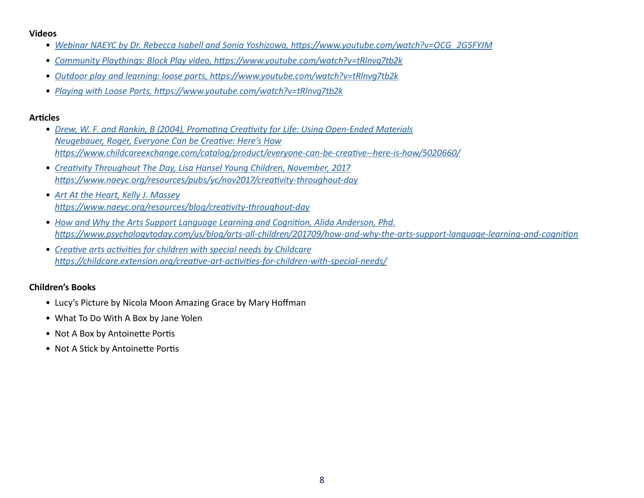#### **Videos**

- *Webinar NAEYC by Dr. Rebecca Isabell and Sonia Yoshizowa, [https://www.youtube.com/watch?v=OCG\\_2G5FYJM](https://www.youtube.com/watch?v=OCG_2G5FYJM)*
- *Community Playthings: Block Play video, <https://www.youtube.com/watch?v=tRlnvg7tb2k>*
- *Outdoor play and learning: loose parts, <https://www.youtube.com/watch?v=tRlnvg7tb2k>*
- *Playing with Loose Parts, <https://www.youtube.com/watch?v=tRlnvg7tb2k>*

### **Articles**

- *Drew, W. F. and Rankin, B (2004), Promoting Creativity for Life: Using [Open-Ended](https://www.childcareexchange.com/catalog/product/everyone-can-be-creative--here-is-how/5020660/) Materials [Neugebauer,](https://www.childcareexchange.com/catalog/product/everyone-can-be-creative--here-is-how/5020660/) Roger, Everyone Can be Creative: Here's How [https://www.childcareexchange.com/catalog/product/everyone-can-be-creative--here-is-how/502](https://www.childcareexchange.com/catalog/product/everyone-can-be-creative--here-is-how/5020660/)0660/*
- *Creativity [Throughout](https://www.naeyc.org/resources/pubs/yc/nov2017/creativity-throughout-day) The Day, Lisa Hansel Young Children, November, 2017 <https://www.naeyc.org/resources/pubs/yc/nov2017/creativity-throughout-day>*
- *Art At the Heart, Kelly J. [Massey](https://www.naeyc.org/resources/blog/creativity-throughout-day) <https://www.naeyc.org/resources/blog/creativity-throughout-day>*
- *How and Why the Arts Support Language Learning and [Cognition,](https://www.psychologytoday.com/us/blog/arts-all-children/201709/how-and-why-the-arts-support-language-learning-and-cognition) Alida Anderson, Phd. <https://www.psychologytoday.com/us/blog/arts-all-children/201709/how-and-why-the-arts-support-language-learning-and-cognition>*
- *Creative arts activities for children with special needs by [Childcare](https://childcare.extension.org/creative-art-activities-for-children-with-special-needs/) <https://childcare.extension.org/creative-art-activities-for-children-with-special-needs/>*

### **Children's Books**

- Lucy's Picture by Nicola Moon Amazing Grace by Mary Hoffman
- What To Do With A Box by Jane Yolen
- Not A Box by Antoinette Portis
- Not A Stick by Antoinette Portis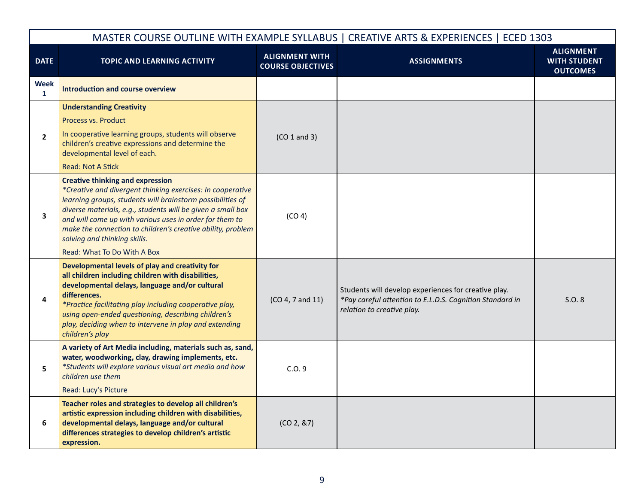|                             |                                                                                                                                                                                                                                                                                                                                                                                                                             |                                                   | MASTER COURSE OUTLINE WITH EXAMPLE SYLLABUS   CREATIVE ARTS & EXPERIENCES   ECED 1303                                                          |                                                            |
|-----------------------------|-----------------------------------------------------------------------------------------------------------------------------------------------------------------------------------------------------------------------------------------------------------------------------------------------------------------------------------------------------------------------------------------------------------------------------|---------------------------------------------------|------------------------------------------------------------------------------------------------------------------------------------------------|------------------------------------------------------------|
| <b>DATE</b>                 | <b>TOPIC AND LEARNING ACTIVITY</b>                                                                                                                                                                                                                                                                                                                                                                                          | <b>ALIGNMENT WITH</b><br><b>COURSE OBJECTIVES</b> | <b>ASSIGNMENTS</b>                                                                                                                             | <b>ALIGNMENT</b><br><b>WITH STUDENT</b><br><b>OUTCOMES</b> |
| <b>Week</b><br>$\mathbf{1}$ | Introduction and course overview                                                                                                                                                                                                                                                                                                                                                                                            |                                                   |                                                                                                                                                |                                                            |
| $\overline{2}$              | <b>Understanding Creativity</b><br>Process vs. Product<br>In cooperative learning groups, students will observe<br>children's creative expressions and determine the<br>developmental level of each.<br><b>Read: Not A Stick</b>                                                                                                                                                                                            | (CO 1 and 3)                                      |                                                                                                                                                |                                                            |
| 3                           | <b>Creative thinking and expression</b><br>*Creative and divergent thinking exercises: In cooperative<br>learning groups, students will brainstorm possibilities of<br>diverse materials, e.g., students will be given a small box<br>and will come up with various uses in order for them to<br>make the connection to children's creative ability, problem<br>solving and thinking skills.<br>Read: What To Do With A Box | (CO <sub>4</sub> )                                |                                                                                                                                                |                                                            |
| 4                           | Developmental levels of play and creativity for<br>all children including children with disabilities,<br>developmental delays, language and/or cultural<br>differences.<br>*Practice facilitating play including cooperative play,<br>using open-ended questioning, describing children's<br>play, deciding when to intervene in play and extending<br>children's play                                                      | (CO 4, 7 and 11)                                  | Students will develop experiences for creative play.<br>*Pay careful attention to E.L.D.S. Cognition Standard in<br>relation to creative play. | S.O. 8                                                     |
| 5                           | A variety of Art Media including, materials such as, sand,<br>water, woodworking, clay, drawing implements, etc.<br>*Students will explore various visual art media and how<br>children use them<br>Read: Lucy's Picture                                                                                                                                                                                                    | C.0.9                                             |                                                                                                                                                |                                                            |
| 6                           | Teacher roles and strategies to develop all children's<br>artistic expression including children with disabilities,<br>developmental delays, language and/or cultural<br>differences strategies to develop children's artistic<br>expression.                                                                                                                                                                               | (CO 2, 87)                                        |                                                                                                                                                |                                                            |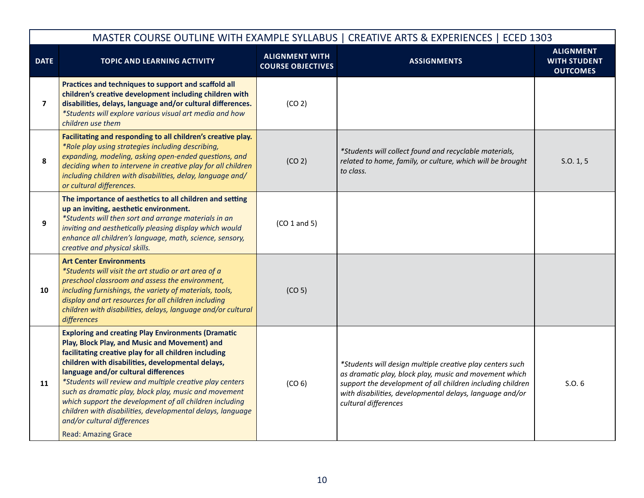|                         | MASTER COURSE OUTLINE WITH EXAMPLE SYLLABUS   CREATIVE ARTS & EXPERIENCES   ECED 1303                                                                                                                                                                                                                                                                                                                                                                                                                                                                                       |                                                   |                                                                                                                                                                                                                                                                       |                                                            |  |
|-------------------------|-----------------------------------------------------------------------------------------------------------------------------------------------------------------------------------------------------------------------------------------------------------------------------------------------------------------------------------------------------------------------------------------------------------------------------------------------------------------------------------------------------------------------------------------------------------------------------|---------------------------------------------------|-----------------------------------------------------------------------------------------------------------------------------------------------------------------------------------------------------------------------------------------------------------------------|------------------------------------------------------------|--|
| <b>DATE</b>             | TOPIC AND LEARNING ACTIVITY                                                                                                                                                                                                                                                                                                                                                                                                                                                                                                                                                 | <b>ALIGNMENT WITH</b><br><b>COURSE OBJECTIVES</b> | <b>ASSIGNMENTS</b>                                                                                                                                                                                                                                                    | <b>ALIGNMENT</b><br><b>WITH STUDENT</b><br><b>OUTCOMES</b> |  |
| $\overline{\mathbf{z}}$ | Practices and techniques to support and scaffold all<br>children's creative development including children with<br>disabilities, delays, language and/or cultural differences.<br>*Students will explore various visual art media and how<br>children use them                                                                                                                                                                                                                                                                                                              | (CO <sub>2</sub> )                                |                                                                                                                                                                                                                                                                       |                                                            |  |
| 8                       | Facilitating and responding to all children's creative play.<br>*Role play using strategies including describing,<br>expanding, modeling, asking open-ended questions, and<br>deciding when to intervene in creative play for all children<br>including children with disabilities, delay, language and/<br>or cultural differences.                                                                                                                                                                                                                                        | (CO <sub>2</sub> )                                | *Students will collect found and recyclable materials,<br>related to home, family, or culture, which will be brought<br>to class.                                                                                                                                     | S.0.1, 5                                                   |  |
| 9                       | The importance of aesthetics to all children and setting<br>up an inviting, aesthetic environment.<br>*Students will then sort and arrange materials in an<br>inviting and aesthetically pleasing display which would<br>enhance all children's language, math, science, sensory,<br>creative and physical skills.                                                                                                                                                                                                                                                          | $(CO 1$ and 5)                                    |                                                                                                                                                                                                                                                                       |                                                            |  |
| 10                      | <b>Art Center Environments</b><br>*Students will visit the art studio or art area of a<br>preschool classroom and assess the environment,<br>including furnishings, the variety of materials, tools,<br>display and art resources for all children including<br>children with disabilities, delays, language and/or cultural<br>differences                                                                                                                                                                                                                                 | (CO <sub>5</sub> )                                |                                                                                                                                                                                                                                                                       |                                                            |  |
| 11                      | <b>Exploring and creating Play Environments (Dramatic</b><br>Play, Block Play, and Music and Movement) and<br>facilitating creative play for all children including<br>children with disabilities, developmental delays,<br>language and/or cultural differences<br>*Students will review and multiple creative play centers<br>such as dramatic play, block play, music and movement<br>which support the development of all children including<br>children with disabilities, developmental delays, language<br>and/or cultural differences<br><b>Read: Amazing Grace</b> | (CO <sub>6</sub> )                                | *Students will design multiple creative play centers such<br>as dramatic play, block play, music and movement which<br>support the development of all children including children<br>with disabilities, developmental delays, language and/or<br>cultural differences | S.O.6                                                      |  |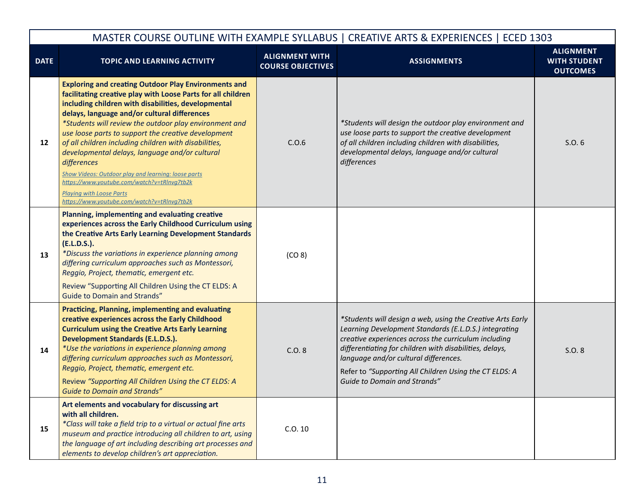|             |                                                                                                                                                                                                                                                                                                                                                                                                                                                                                                                                                                                                                                                                              |                                                   | MASTER COURSE OUTLINE WITH EXAMPLE SYLLABUS   CREATIVE ARTS & EXPERIENCES   ECED 1303                                                                                                                                                                                                                                                                                     |                                                            |
|-------------|------------------------------------------------------------------------------------------------------------------------------------------------------------------------------------------------------------------------------------------------------------------------------------------------------------------------------------------------------------------------------------------------------------------------------------------------------------------------------------------------------------------------------------------------------------------------------------------------------------------------------------------------------------------------------|---------------------------------------------------|---------------------------------------------------------------------------------------------------------------------------------------------------------------------------------------------------------------------------------------------------------------------------------------------------------------------------------------------------------------------------|------------------------------------------------------------|
| <b>DATE</b> | <b>TOPIC AND LEARNING ACTIVITY</b>                                                                                                                                                                                                                                                                                                                                                                                                                                                                                                                                                                                                                                           | <b>ALIGNMENT WITH</b><br><b>COURSE OBJECTIVES</b> | <b>ASSIGNMENTS</b>                                                                                                                                                                                                                                                                                                                                                        | <b>ALIGNMENT</b><br><b>WITH STUDENT</b><br><b>OUTCOMES</b> |
| 12          | <b>Exploring and creating Outdoor Play Environments and</b><br>facilitating creative play with Loose Parts for all children<br>including children with disabilities, developmental<br>delays, language and/or cultural differences<br>*Students will review the outdoor play environment and<br>use loose parts to support the creative development<br>of all children including children with disabilities,<br>developmental delays, language and/or cultural<br>differences<br><b>Show Videos: Outdoor play and learning: loose parts</b><br>https://www.youtube.com/watch?v=tRlnvg7tb2k<br><b>Playing with Loose Parts</b><br>https://www.youtube.com/watch?v=tRlnvg7tb2k | C.0.6                                             | *Students will design the outdoor play environment and<br>use loose parts to support the creative development<br>of all children including children with disabilities,<br>developmental delays, language and/or cultural<br>differences                                                                                                                                   | S.0.6                                                      |
| 13          | Planning, implementing and evaluating creative<br>experiences across the Early Childhood Curriculum using<br>the Creative Arts Early Learning Development Standards<br>(E.L.D.S.).<br>*Discuss the variations in experience planning among<br>differing curriculum approaches such as Montessori,<br>Reggio, Project, thematic, emergent etc.<br>Review "Supporting All Children Using the CT ELDS: A                                                                                                                                                                                                                                                                        | (CO 8)                                            |                                                                                                                                                                                                                                                                                                                                                                           |                                                            |
| 14          | <b>Guide to Domain and Strands"</b><br>Practicing, Planning, implementing and evaluating<br>creative experiences across the Early Childhood<br><b>Curriculum using the Creative Arts Early Learning</b><br><b>Development Standards (E.L.D.S.).</b><br>*Use the variations in experience planning among<br>differing curriculum approaches such as Montessori,<br>Reggio, Project, thematic, emergent etc.<br>Review "Supporting All Children Using the CT ELDS: A<br><b>Guide to Domain and Strands"</b>                                                                                                                                                                    | C.0.8                                             | *Students will design a web, using the Creative Arts Early<br>Learning Development Standards (E.L.D.S.) integrating<br>creative experiences across the curriculum including<br>differentiating for children with disabilities, delays,<br>language and/or cultural differences.<br>Refer to "Supporting All Children Using the CT ELDS: A<br>Guide to Domain and Strands" | S.O. 8                                                     |
| 15          | Art elements and vocabulary for discussing art<br>with all children.<br>*Class will take a field trip to a virtual or actual fine arts<br>museum and practice introducing all children to art, using<br>the language of art including describing art processes and<br>elements to develop children's art appreciation.                                                                                                                                                                                                                                                                                                                                                       | C.0.10                                            |                                                                                                                                                                                                                                                                                                                                                                           |                                                            |